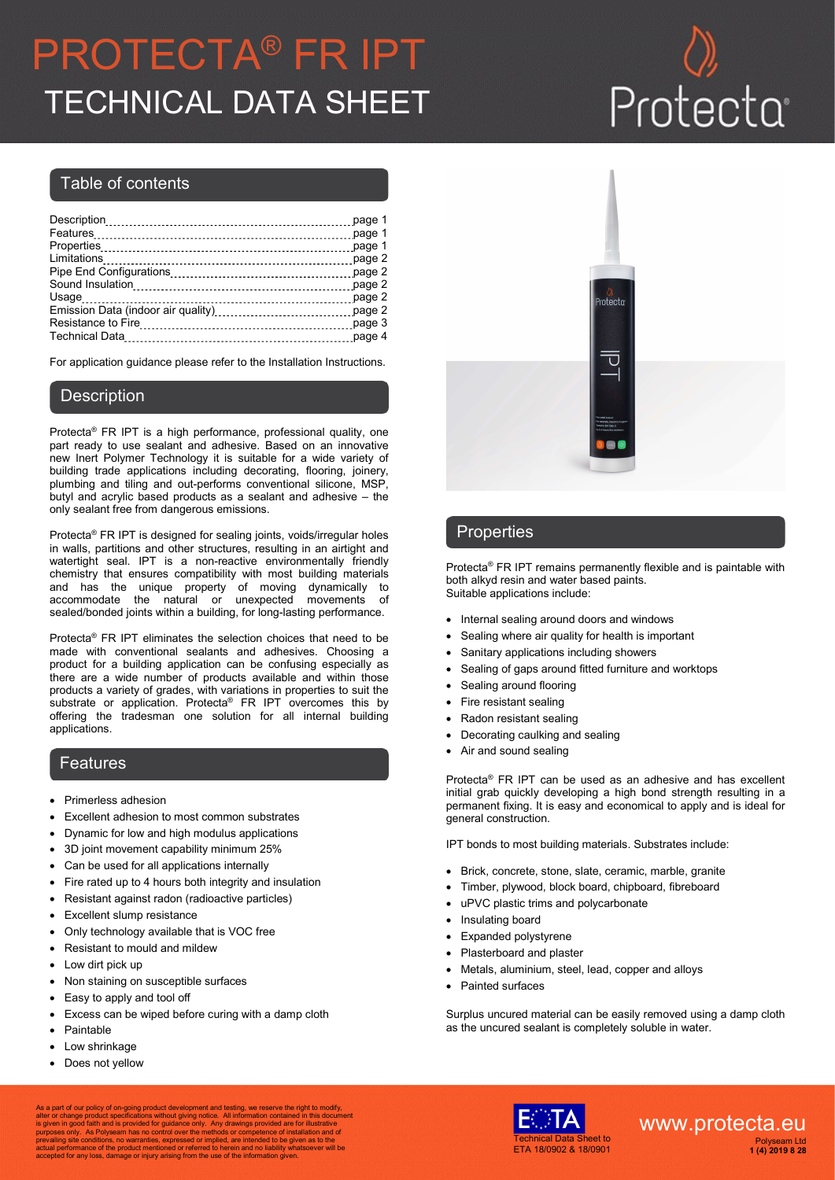# PROTECTA® FR IPT TECHNICAL DATA SHEET Protecta

#### Table of contents

| page 1                                       |
|----------------------------------------------|
| page 1                                       |
| page 1                                       |
| page 2                                       |
| page 2                                       |
| page 2                                       |
| page 2                                       |
| Emission Data (indoor air quality)<br>page 2 |
| page 3                                       |
| page 4                                       |
|                                              |

For application guidance please refer to the Installation Instructions.

#### **Description**

Protecta® FR IPT is a high performance, professional quality, one part ready to use sealant and adhesive. Based on an innovative new Inert Polymer Technology it is suitable for a wide variety of building trade applications including decorating, flooring, joinery, plumbing and tiling and out-performs conventional silicone, MSP, butyl and acrylic based products as a sealant and adhesive – the only sealant free from dangerous emissions.

Protecta® FR IPT is designed for sealing joints, voids/irregular holes in walls, partitions and other structures, resulting in an airtight and watertight seal. IPT is a non-reactive environmentally friendly chemistry that ensures compatibility with most building materials and has the unique property of moving dynamically to accommodate the natural or unexpected movements of sealed/bonded joints within a building, for long-lasting performance.

Protecta® FR IPT eliminates the selection choices that need to be made with conventional sealants and adhesives. Choosing a product for a building application can be confusing especially as there are a wide number of products available and within those products a variety of grades, with variations in properties to suit the substrate or application. Protecta<sup>®</sup> FR IPT overcomes this by offering the tradesman one solution for all internal building applications.

#### Features

- Primerless adhesion
- Excellent adhesion to most common substrates
- Dynamic for low and high modulus applications
- 3D joint movement capability minimum 25%
- Can be used for all applications internally
- Fire rated up to 4 hours both integrity and insulation
- Resistant against radon (radioactive particles)
- Excellent slump resistance
- Only technology available that is VOC free
- Resistant to mould and mildew
- Low dirt pick up
- Non staining on susceptible surfaces
- Easy to apply and tool off
- Excess can be wiped before curing with a damp cloth
- Paintable
- Low shrinkage
- Does not yellow



### **Properties**

Protecta® FR IPT remains permanently flexible and is paintable with both alkyd resin and water based paints. Suitable applications include:

- Internal sealing around doors and windows
- Sealing where air quality for health is important
- Sanitary applications including showers
- Sealing of gaps around fitted furniture and worktops
- Sealing around flooring
- Fire resistant sealing
- Radon resistant sealing
- Decorating caulking and sealing
- Air and sound sealing

Protecta® FR IPT can be used as an adhesive and has excellent initial grab quickly developing a high bond strength resulting in a permanent fixing. It is easy and economical to apply and is ideal for general construction.

IPT bonds to most building materials. Substrates include:

- Brick, concrete, stone, slate, ceramic, marble, granite
- Timber, plywood, block board, chipboard, fibreboard
- uPVC plastic trims and polycarbonate
- Insulating board
- Expanded polystyrene
- Plasterboard and plaster
- Metals, aluminium, steel, lead, copper and alloys
- Painted surfaces

Surplus uncured material can be easily removed using a damp cloth as the uncured sealant is completely soluble in water.

As a part of our policy of on-going product development and testing, we reserve the right to modify,<br>alter or change product specifications without giving notice. All information contained in this document<br>is given in good

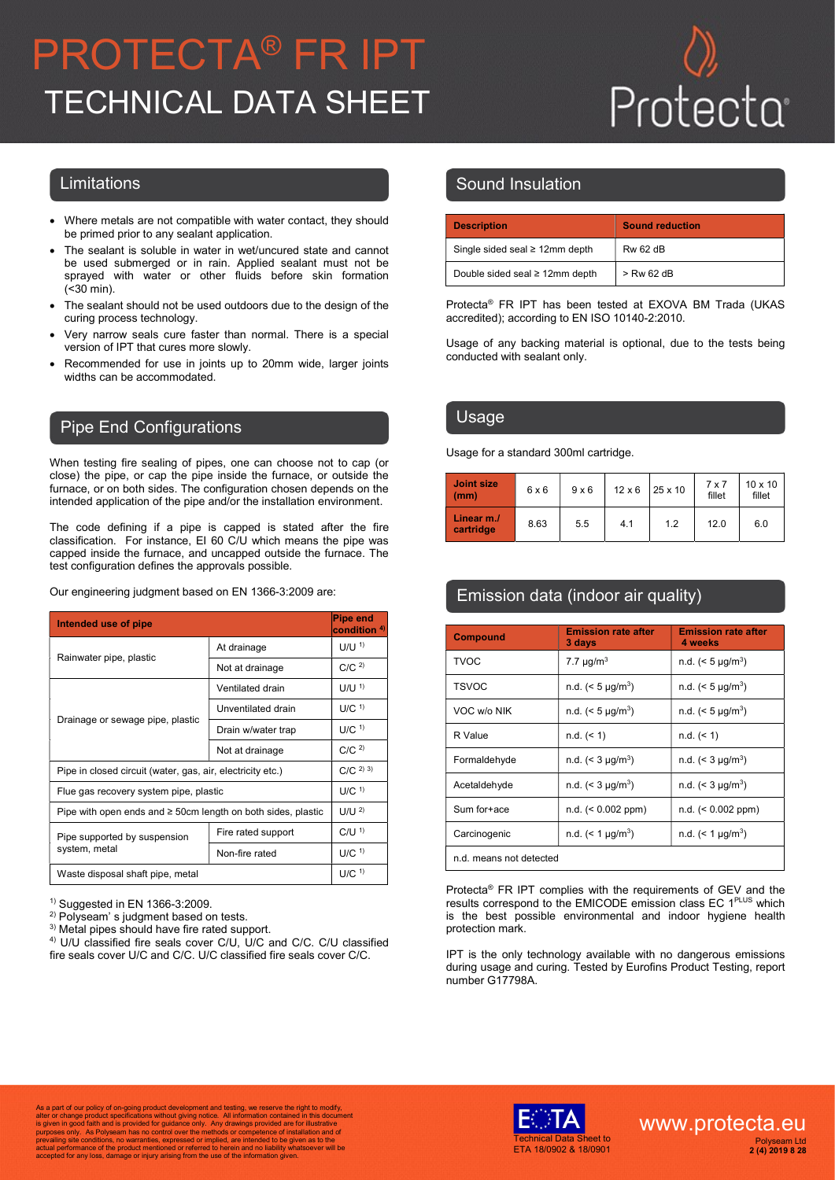# PROTECTA® FR IPT TECHNICAL DATA SHEET

- Where metals are not compatible with water contact, they should be primed prior to any sealant application.
- The sealant is soluble in water in wet/uncured state and cannot be used submerged or in rain. Applied sealant must not be sprayed with water or other fluids before skin formation (<30 min).
- The sealant should not be used outdoors due to the design of the curing process technology.
- Very narrow seals cure faster than normal. There is a special version of IPT that cures more slowly.
- Recommended for use in joints up to 20mm wide, larger joints widths can be accommodated.

### Pipe End Configurations

When testing fire sealing of pipes, one can choose not to cap (or close) the pipe, or cap the pipe inside the furnace, or outside the furnace, or on both sides. The configuration chosen depends on the intended application of the pipe and/or the installation environment.

The code defining if a pipe is capped is stated after the fire classification. For instance, EI 60 C/U which means the pipe was capped inside the furnace, and uncapped outside the furnace. The test configuration defines the approvals possible.

Our engineering judgment based on EN 1366-3:2009 are:

| Intended use of pipe                                              | Pipe end<br>condition <sup>4)</sup> |                     |
|-------------------------------------------------------------------|-------------------------------------|---------------------|
|                                                                   | At drainage                         | $U/U$ <sup>1)</sup> |
| Rainwater pipe, plastic                                           | Not at drainage                     | C/C <sup>2</sup>    |
|                                                                   | Ventilated drain                    | $U/U$ <sup>1)</sup> |
| Drainage or sewage pipe, plastic                                  | Unventilated drain                  | $U/C$ <sup>1)</sup> |
|                                                                   | Drain w/water trap                  | $U/C$ <sup>1)</sup> |
|                                                                   | Not at drainage                     | C/C <sup>2</sup>    |
| Pipe in closed circuit (water, gas, air, electricity etc.)        | $C/C$ <sup>2)</sup> <sup>3)</sup>   |                     |
| Flue gas recovery system pipe, plastic                            | $U/C$ <sup>1)</sup>                 |                     |
| Pipe with open ends and $\geq$ 50cm length on both sides, plastic | U/U <sup>2</sup>                    |                     |
| Pipe supported by suspension                                      | Fire rated support                  | $C/U$ <sup>1)</sup> |
| system, metal                                                     | Non-fire rated                      | $U/C$ <sup>1)</sup> |
| Waste disposal shaft pipe, metal                                  | $U/C$ <sup>1)</sup>                 |                     |

1) Suggested in EN 1366-3:2009.

2) Polyseam' s judgment based on tests.

<sup>3)</sup> Metal pipes should have fire rated support.

4) U/U classified fire seals cover C/U, U/C and C/C. C/U classified fire seals cover U/C and C/C. U/C classified fire seals cover C/C.

### Limitations **Sound Insulation**

| <b>Description</b>                   | <b>Sound reduction</b> |
|--------------------------------------|------------------------|
| Single sided seal $\geq 12$ mm depth | <b>Rw 62 dB</b>        |
| Double sided seal ≥ 12mm depth       | $>$ Rw 62 dB           |

Protecta® FR IPT has been tested at EXOVA BM Trada (UKAS accredited); according to EN ISO 10140-2:2010.

Usage of any backing material is optional, due to the tests being conducted with sealant only.

#### Usage

Usage for a standard 300ml cartridge.

| <b>Joint size</b><br>(mm) | 6x6  | $9 \times 6$ | $12 \times 6$ | $25 \times 10$ | $7 \times 7$<br>fillet | $10 \times 10$<br>fillet |
|---------------------------|------|--------------|---------------|----------------|------------------------|--------------------------|
| Linear m./<br>cartridge   | 8.63 | 5.5          | 4.1           | 1.2            | 12.0                   | 6.0                      |

## Emission data (indoor air quality)

| <b>Compound</b>         | <b>Emission rate after</b><br>3 days | <b>Emission rate after</b><br>4 weeks |  |
|-------------------------|--------------------------------------|---------------------------------------|--|
| TVOC                    | 7.7 $\mu$ g/m <sup>3</sup>           | n.d. $(< 5 \mu q/m^3)$                |  |
| <b>TSVOC</b>            | n.d. $(< 5 \mu g/m^3)$               | n.d. $(< 5 \mu g/m^3)$                |  |
| VOC w/o NIK             | n.d. $(< 5 \mu g/m^3)$               | n.d. $(< 5 \mu g/m^3)$                |  |
| R Value                 | $n.d.$ (< 1)                         | $n.d.$ (< 1)                          |  |
| Formaldehyde            | n.d. $(< 3 \mu g/m^3)$               | n.d. $(< 3 \mu g/m^3)$                |  |
| Acetaldehyde            | n.d. $(< 3 \mu g/m^3)$               | n.d. $(< 3 \mu g/m^3)$                |  |
| Sum for+ace             | $n.d.$ (< 0.002 ppm)                 | $n.d.$ (< 0.002 ppm)                  |  |
| Carcinogenic            | n.d. $(< 1 \mu g/m^3)$               | n.d. $(< 1 \mu g/m^3)$                |  |
| n.d. means not detected |                                      |                                       |  |

Protecta® FR IPT complies with the requirements of GEV and the results correspond to the EMICODE emission class EC 1PLUS which is the best possible environmental and indoor hygiene health protection mark.

IPT is the only technology available with no dangerous emissions during usage and curing. Tested by Eurofins Product Testing, report number G17798A.

As a part of our policy of on-going product development and testing, we reserve the right to modify,<br>alter or change product specifications without giving notice. All information contained in this document<br>is given in good

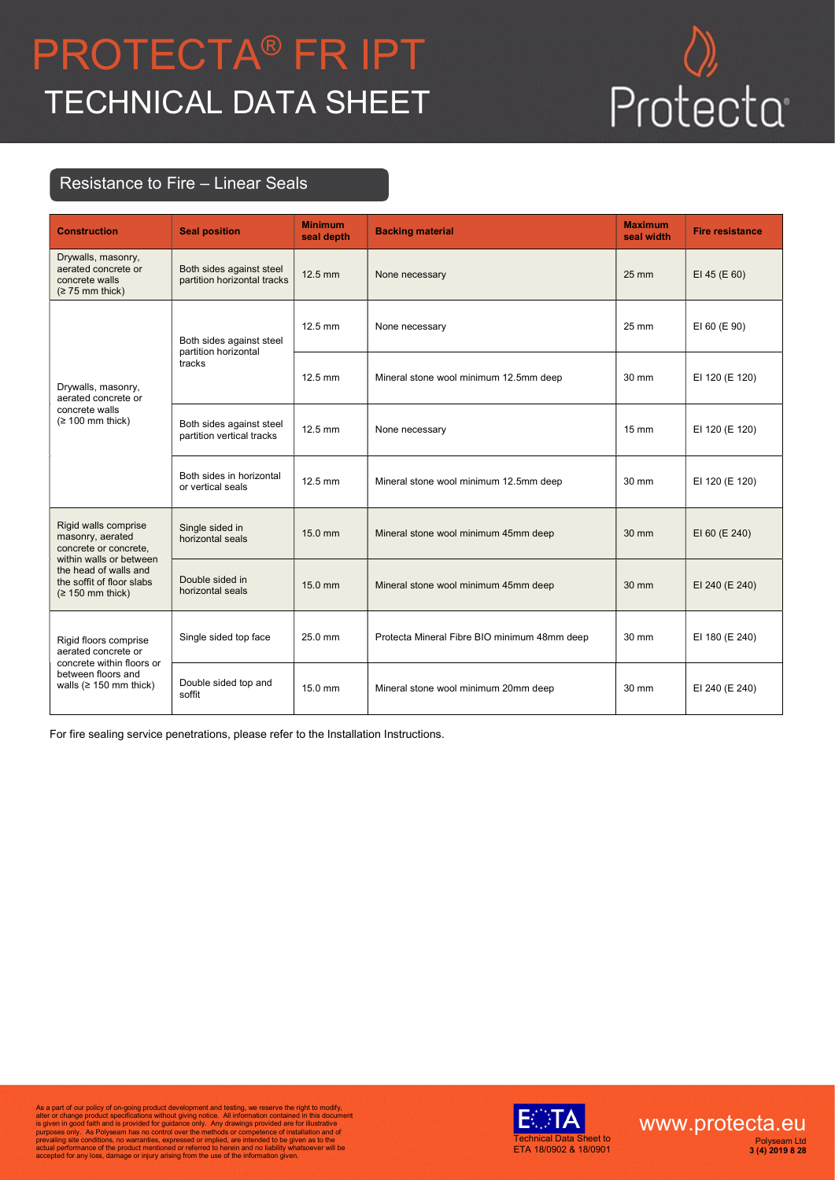# PROTECTA® FR IPT **TRUTECTA FRIPT**<br>TECHNICAL DATA SHEET Protecta<sup>.</sup>



## Resistance to Fire – Linear Seals

| <b>Construction</b>                                                                                                                                                      | <b>Seal position</b>                                       | <b>Minimum</b><br>seal depth | <b>Backing material</b>                      | <b>Maximum</b><br>seal width | <b>Fire resistance</b> |
|--------------------------------------------------------------------------------------------------------------------------------------------------------------------------|------------------------------------------------------------|------------------------------|----------------------------------------------|------------------------------|------------------------|
| Drywalls, masonry,<br>aerated concrete or<br>concrete walls<br>$(≥ 75$ mm thick)                                                                                         | Both sides against steel<br>partition horizontal tracks    | 12.5 mm                      | None necessary                               | 25 mm                        | EI 45 (E 60)           |
| Drywalls, masonry,<br>aerated concrete or<br>concrete walls<br>$(≥ 100$ mm thick)                                                                                        | Both sides against steel<br>partition horizontal<br>tracks | 12.5 mm                      | None necessary                               | 25 mm                        | EI 60 (E 90)           |
|                                                                                                                                                                          |                                                            | 12.5 mm                      | Mineral stone wool minimum 12.5mm deep       | $30 \text{ mm}$              | EI 120 (E 120)         |
|                                                                                                                                                                          | Both sides against steel<br>partition vertical tracks      | 12.5 mm                      | None necessary                               | $15 \text{ mm}$              | EI 120 (E 120)         |
|                                                                                                                                                                          | Both sides in horizontal<br>or vertical seals              | 12.5 mm                      | Mineral stone wool minimum 12.5mm deep       | 30 mm                        | EI 120 (E 120)         |
| Rigid walls comprise<br>masonry, aerated<br>concrete or concrete,<br>within walls or between<br>the head of walls and<br>the soffit of floor slabs<br>$(≥ 150$ mm thick) | Single sided in<br>horizontal seals                        | 15.0 mm                      | Mineral stone wool minimum 45mm deep         | 30 mm                        | EI 60 (E 240)          |
|                                                                                                                                                                          | Double sided in<br>horizontal seals                        | 15.0 mm                      | Mineral stone wool minimum 45mm deep         | 30 mm                        | EI 240 (E 240)         |
| Rigid floors comprise<br>aerated concrete or<br>concrete within floors or<br>between floors and<br>walls ( $\geq$ 150 mm thick)                                          | Single sided top face                                      | 25.0 mm                      | Protecta Mineral Fibre BIO minimum 48mm deep | 30 mm                        | EI 180 (E 240)         |
|                                                                                                                                                                          | Double sided top and<br>soffit                             | 15.0 mm                      | Mineral stone wool minimum 20mm deep         | $30 \text{ mm}$              | EI 240 (E 240)         |

For fire sealing service penetrations, please refer to the Installation Instructions.

As a part of our policy of on-going product development and testing, we reserve the right to modify,<br>alter or change product specifications without giving notice. All information contained in this document<br>is given in good



www.protecta.eu Polyseam Ltd 3 (4) 2019 8 28